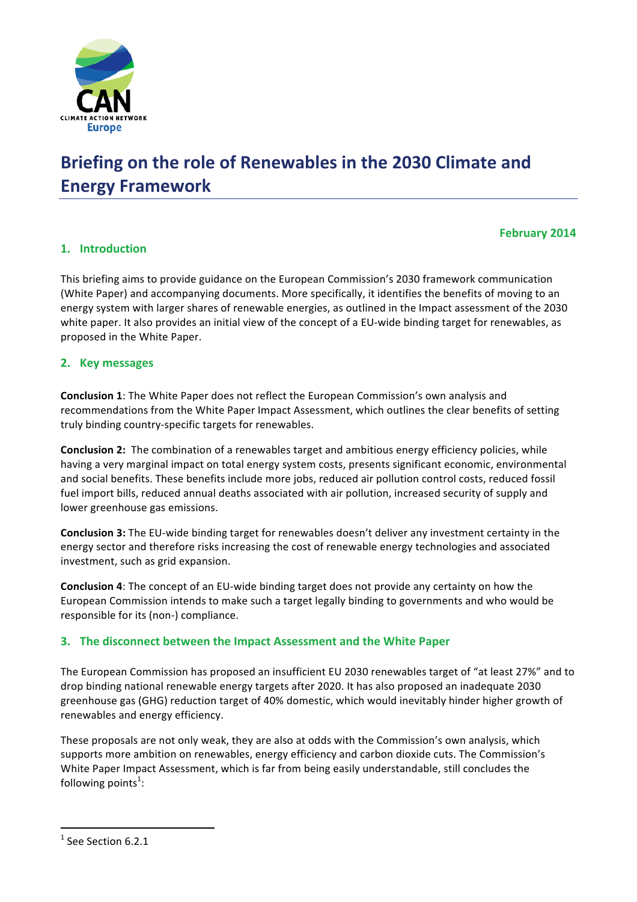

# **Briefing on the role of Renewables in the 2030 Climate and Energy Framework**

# **February 2014**

# **1. Introduction**

This briefing aims to provide guidance on the European Commission's 2030 framework communication (White Paper) and accompanying documents. More specifically, it identifies the benefits of moving to an energy system with larger shares of renewable energies, as outlined in the Impact assessment of the 2030 white paper. It also provides an initial view of the concept of a EU-wide binding target for renewables, as proposed in the White Paper.

## **2. Key messages**

**Conclusion 1**: The White Paper does not reflect the European Commission's own analysis and recommendations from the White Paper Impact Assessment, which outlines the clear benefits of setting truly binding country-specific targets for renewables.

**Conclusion 2:** The combination of a renewables target and ambitious energy efficiency policies, while having a very marginal impact on total energy system costs, presents significant economic, environmental and social benefits. These benefits include more jobs, reduced air pollution control costs, reduced fossil fuel import bills, reduced annual deaths associated with air pollution, increased security of supply and lower greenhouse gas emissions.

**Conclusion 3:** The EU-wide binding target for renewables doesn't deliver any investment certainty in the energy sector and therefore risks increasing the cost of renewable energy technologies and associated investment, such as grid expansion.

**Conclusion 4:** The concept of an EU-wide binding target does not provide any certainty on how the European Commission intends to make such a target legally binding to governments and who would be responsible for its (non-) compliance.

## **3.** The disconnect between the Impact Assessment and the White Paper

The European Commission has proposed an insufficient EU 2030 renewables target of "at least 27%" and to drop binding national renewable energy targets after 2020. It has also proposed an inadequate 2030 greenhouse gas (GHG) reduction target of 40% domestic, which would inevitably hinder higher growth of renewables and energy efficiency.

These proposals are not only weak, they are also at odds with the Commission's own analysis, which supports more ambition on renewables, energy efficiency and carbon dioxide cuts. The Commission's White Paper Impact Assessment, which is far from being easily understandable, still concludes the following points $^1$ :

 

 $1$  See Section 6.2.1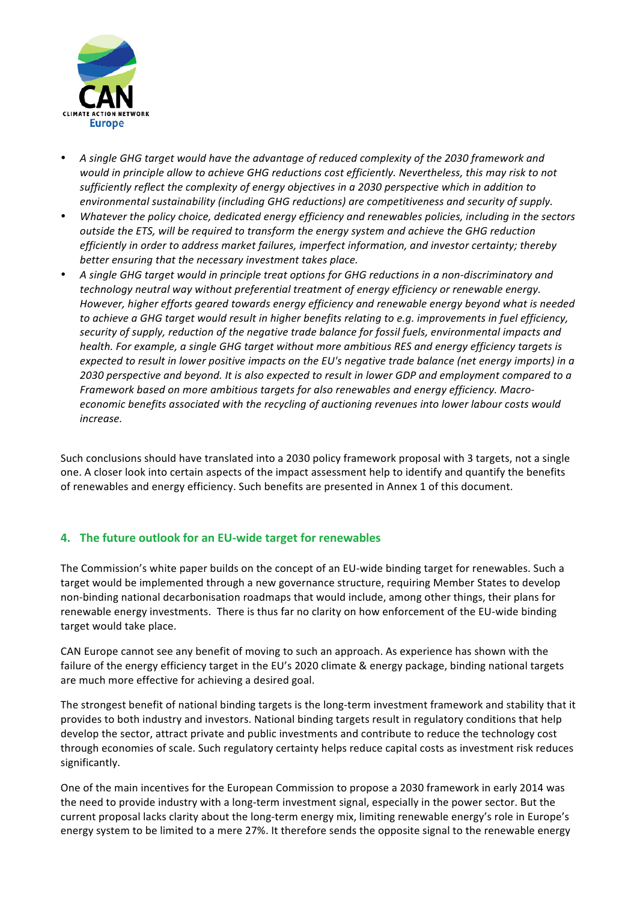

- A single GHG target would have the advantage of reduced complexity of the 2030 framework and *would in principle allow to achieve GHG reductions cost efficiently. Nevertheless, this may risk to not* sufficiently reflect the complexity of energy objectives in a 2030 perspective which in addition to environmental sustainability (including GHG reductions) are competitiveness and security of supply.
- Whatever the policy choice, dedicated energy efficiency and renewables policies, including in the sectors *outside the ETS, will be required to transform the energy system and achieve the GHG reduction efficiently in order to address market failures, imperfect information, and investor certainty; thereby* better ensuring that the necessary investment takes place.
- A single GHG target would in principle treat options for GHG reductions in a non-discriminatory and technology neutral way without preferential treatment of energy efficiency or renewable energy. However, higher efforts geared towards energy efficiency and renewable energy beyond what is needed *to* achieve a GHG target would result in higher benefits relating to e.g. improvements in fuel efficiency, security of supply, reduction of the negative trade balance for fossil fuels, environmental impacts and *health.* For example, a single GHG target without more ambitious RES and energy efficiency targets is *expected to result in lower positive impacts on the EU's negative trade balance (net energy imports) in a* 2030 perspective and beyond. It is also expected to result in lower GDP and employment compared to a *Framework based on more ambitious targets for also renewables and energy efficiency. Macroeconomic benefits associated with the recycling of auctioning revenues into lower labour costs would increase.*

Such conclusions should have translated into a 2030 policy framework proposal with 3 targets, not a single one. A closer look into certain aspects of the impact assessment help to identify and quantify the benefits of renewables and energy efficiency. Such benefits are presented in Annex 1 of this document.

# **4.** The future outlook for an EU-wide target for renewables

The Commission's white paper builds on the concept of an EU-wide binding target for renewables. Such a target would be implemented through a new governance structure, requiring Member States to develop non-binding national decarbonisation roadmaps that would include, among other things, their plans for renewable energy investments. There is thus far no clarity on how enforcement of the EU-wide binding target would take place.

CAN Europe cannot see any benefit of moving to such an approach. As experience has shown with the failure of the energy efficiency target in the EU's 2020 climate & energy package, binding national targets are much more effective for achieving a desired goal.

The strongest benefit of national binding targets is the long-term investment framework and stability that it provides to both industry and investors. National binding targets result in regulatory conditions that help develop the sector, attract private and public investments and contribute to reduce the technology cost through economies of scale. Such regulatory certainty helps reduce capital costs as investment risk reduces significantly. 

One of the main incentives for the European Commission to propose a 2030 framework in early 2014 was the need to provide industry with a long-term investment signal, especially in the power sector. But the current proposal lacks clarity about the long-term energy mix, limiting renewable energy's role in Europe's energy system to be limited to a mere 27%. It therefore sends the opposite signal to the renewable energy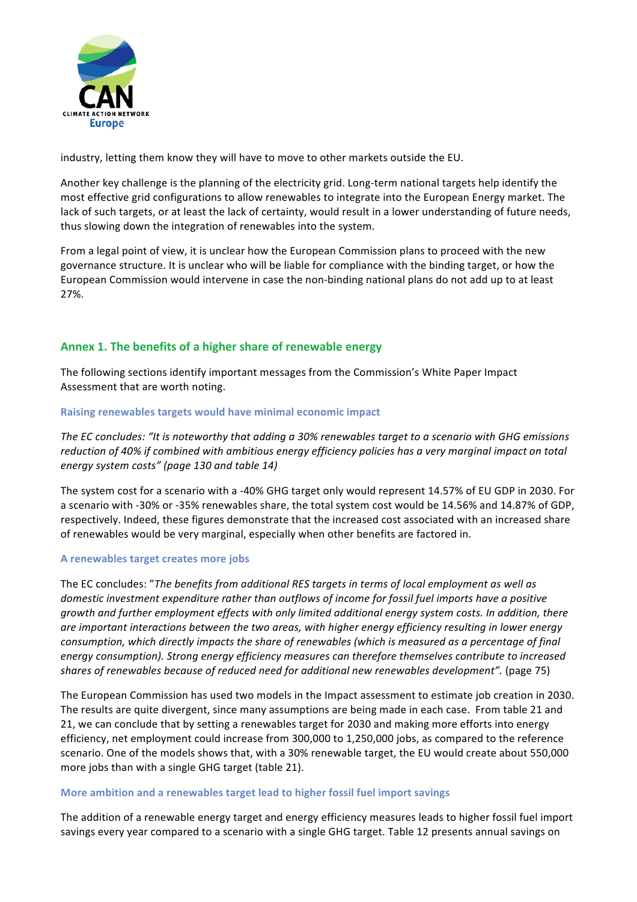

industry, letting them know they will have to move to other markets outside the EU.

Another key challenge is the planning of the electricity grid. Long-term national targets help identify the most effective grid configurations to allow renewables to integrate into the European Energy market. The lack of such targets, or at least the lack of certainty, would result in a lower understanding of future needs, thus slowing down the integration of renewables into the system.

From a legal point of view, it is unclear how the European Commission plans to proceed with the new governance structure. It is unclear who will be liable for compliance with the binding target, or how the European Commission would intervene in case the non-binding national plans do not add up to at least 27%. 

# Annex 1. The benefits of a higher share of renewable energy

The following sections identify important messages from the Commission's White Paper Impact Assessment that are worth noting.

## **Raising renewables targets would have minimal economic impact**

The EC concludes: "It is noteworthy that adding a 30% renewables target to a scenario with GHG emissions *reduction of 40% if combined with ambitious energy efficiency policies has a very marginal impact on total energy system costs" (page 130 and table 14)*

The system cost for a scenario with a -40% GHG target only would represent 14.57% of EU GDP in 2030. For a scenario with -30% or -35% renewables share, the total system cost would be 14.56% and 14.87% of GDP, respectively. Indeed, these figures demonstrate that the increased cost associated with an increased share of renewables would be very marginal, especially when other benefits are factored in.

#### **A renewables target creates more jobs**

The EC concludes: "The benefits from additional RES targets in terms of local employment as well as *domestic investment expenditure rather than outflows of income for fossil fuel imports have a positive growth* and further employment effects with only limited additional energy system costs. In addition, there are *important interactions between the two areas, with higher energy efficiency resulting in lower energy consumption, which directly impacts the share of renewables (which is measured as a percentage of final* energy consumption). Strong energy efficiency measures can therefore themselves contribute to increased *shares of renewables because of reduced need for additional new renewables development".* (page 75)

The European Commission has used two models in the Impact assessment to estimate job creation in 2030. The results are quite divergent, since many assumptions are being made in each case. From table 21 and 21, we can conclude that by setting a renewables target for 2030 and making more efforts into energy efficiency, net employment could increase from 300,000 to 1,250,000 jobs, as compared to the reference scenario. One of the models shows that, with a 30% renewable target, the EU would create about 550,000 more jobs than with a single GHG target (table 21).

#### **More ambition and a renewables target lead to higher fossil fuel import savings**

The addition of a renewable energy target and energy efficiency measures leads to higher fossil fuel import savings every year compared to a scenario with a single GHG target. Table 12 presents annual savings on